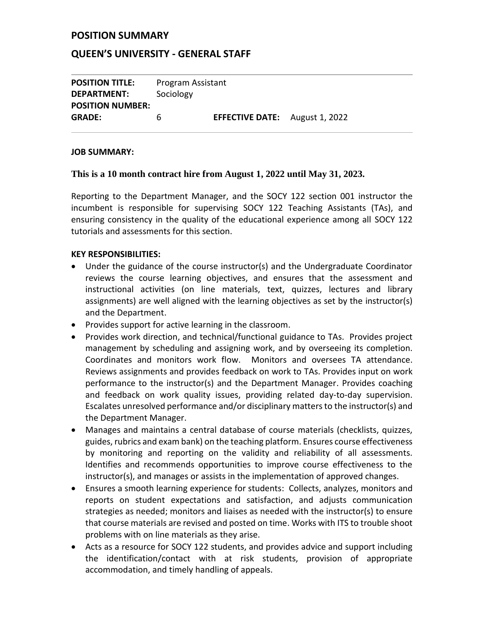#### **POSITION SUMMARY**

#### **QUEEN'S UNIVERSITY - GENERAL STAFF**

**POSITION TITLE:** Program Assistant **DEPARTMENT:** Sociology **POSITION NUMBER: GRADE:** 6 **EFFECTIVE DATE:** August 1, 2022

#### **JOB SUMMARY:**

#### **This is a 10 month contract hire from August 1, 2022 until May 31, 2023.**

Reporting to the Department Manager, and the SOCY 122 section 001 instructor the incumbent is responsible for supervising SOCY 122 Teaching Assistants (TAs), and ensuring consistency in the quality of the educational experience among all SOCY 122 tutorials and assessments for this section.

#### **KEY RESPONSIBILITIES:**

- Under the guidance of the course instructor(s) and the Undergraduate Coordinator reviews the course learning objectives, and ensures that the assessment and instructional activities (on line materials, text, quizzes, lectures and library assignments) are well aligned with the learning objectives as set by the instructor(s) and the Department.
- Provides support for active learning in the classroom.
- Provides work direction, and technical/functional guidance to TAs. Provides project management by scheduling and assigning work, and by overseeing its completion. Coordinates and monitors work flow. Monitors and oversees TA attendance. Reviews assignments and provides feedback on work to TAs. Provides input on work performance to the instructor(s) and the Department Manager. Provides coaching and feedback on work quality issues, providing related day-to-day supervision. Escalates unresolved performance and/or disciplinary matters to the instructor(s) and the Department Manager.
- Manages and maintains a central database of course materials (checklists, quizzes, guides, rubrics and exam bank) on the teaching platform. Ensures course effectiveness by monitoring and reporting on the validity and reliability of all assessments. Identifies and recommends opportunities to improve course effectiveness to the instructor(s), and manages or assists in the implementation of approved changes.
- Ensures a smooth learning experience for students: Collects, analyzes, monitors and reports on student expectations and satisfaction, and adjusts communication strategies as needed; monitors and liaises as needed with the instructor(s) to ensure that course materials are revised and posted on time. Works with ITS to trouble shoot problems with on line materials as they arise.
- Acts as a resource for SOCY 122 students, and provides advice and support including the identification/contact with at risk students, provision of appropriate accommodation, and timely handling of appeals.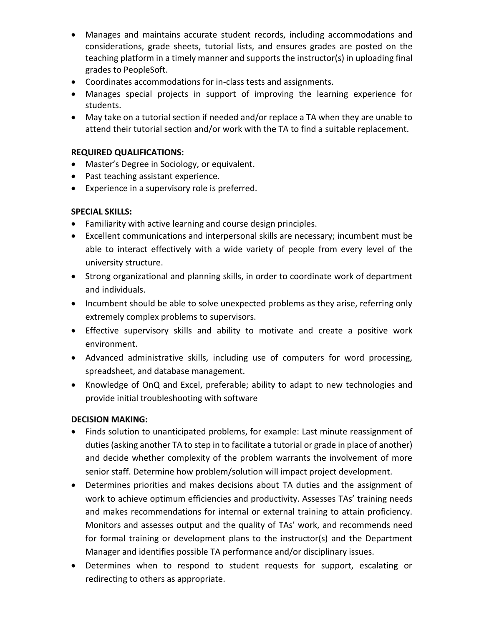- Manages and maintains accurate student records, including accommodations and considerations, grade sheets, tutorial lists, and ensures grades are posted on the teaching platform in a timely manner and supports the instructor(s) in uploading final grades to PeopleSoft.
- Coordinates accommodations for in-class tests and assignments.
- Manages special projects in support of improving the learning experience for students.
- May take on a tutorial section if needed and/or replace a TA when they are unable to attend their tutorial section and/or work with the TA to find a suitable replacement.

## **REQUIRED QUALIFICATIONS:**

- Master's Degree in Sociology, or equivalent.
- Past teaching assistant experience.
- Experience in a supervisory role is preferred.

## **SPECIAL SKILLS:**

- Familiarity with active learning and course design principles.
- Excellent communications and interpersonal skills are necessary; incumbent must be able to interact effectively with a wide variety of people from every level of the university structure.
- Strong organizational and planning skills, in order to coordinate work of department and individuals.
- Incumbent should be able to solve unexpected problems as they arise, referring only extremely complex problems to supervisors.
- Effective supervisory skills and ability to motivate and create a positive work environment.
- Advanced administrative skills, including use of computers for word processing, spreadsheet, and database management.
- Knowledge of OnQ and Excel, preferable; ability to adapt to new technologies and provide initial troubleshooting with software

## **DECISION MAKING:**

- Finds solution to unanticipated problems, for example: Last minute reassignment of duties (asking another TA to step in to facilitate a tutorial or grade in place of another) and decide whether complexity of the problem warrants the involvement of more senior staff. Determine how problem/solution will impact project development.
- Determines priorities and makes decisions about TA duties and the assignment of work to achieve optimum efficiencies and productivity. Assesses TAs' training needs and makes recommendations for internal or external training to attain proficiency. Monitors and assesses output and the quality of TAs' work, and recommends need for formal training or development plans to the instructor(s) and the Department Manager and identifies possible TA performance and/or disciplinary issues.
- Determines when to respond to student requests for support, escalating or redirecting to others as appropriate.